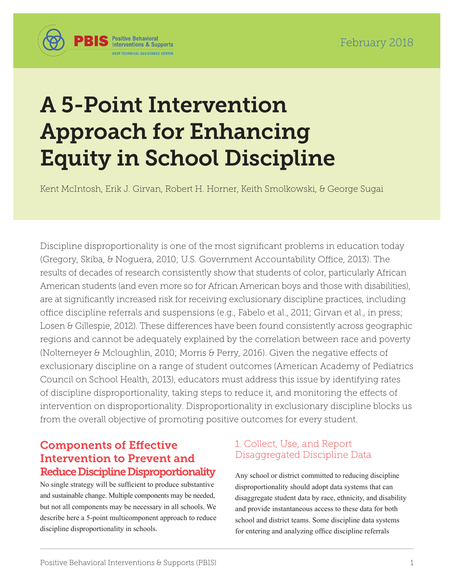

# A 5-Point Intervention Approach for Enhancing Equity in School Discipline

Kent McIntosh, Erik J. Girvan, Robert H. Horner, Keith Smolkowski, & George Sugai

Discipline disproportionality is one of the most significant problems in education today (Gregory, Skiba, & Noguera, 2010; U.S. Government Accountability Office, 2013). The results of decades of research consistently show that students of color, particularly African American students (and even more so for African American boys and those with disabilities), are at significantly increased risk for receiving exclusionary discipline practices, including office discipline referrals and suspensions (e.g., Fabelo et al., 2011; Girvan et al., in press; Losen & Gillespie, 2012). These differences have been found consistently across geographic regions and cannot be adequately explained by the correlation between race and poverty (Noltemeyer & Mcloughlin, 2010; Morris & Perry, 2016). Given the negative effects of exclusionary discipline on a range of student outcomes (American Academy of Pediatrics Council on School Health, 2013), educators must address this issue by identifying rates of discipline disproportionality, taking steps to reduce it, and monitoring the effects of intervention on disproportionality. Disproportionality in exclusionary discipline blocks us from the overall objective of promoting positive outcomes for every student.

## Components of Effective Intervention to Prevent and Reduce Discipline Disproportionality

No single strategy will be sufficient to produce substantive and sustainable change. Multiple components may be needed, but not all components may be necessary in all schools. We describe here a 5-point multicomponent approach to reduce discipline disproportionality in schools.

## 1. Collect, Use, and Report Disaggregated Discipline Data

Any school or district committed to reducing discipline disproportionality should adopt data systems that can disaggregate student data by race, ethnicity, and disability and provide instantaneous access to these data for both school and district teams. Some discipline data systems for entering and analyzing office discipline referrals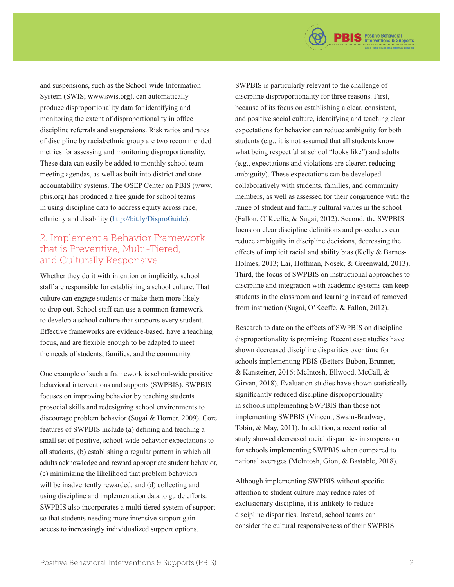

#### 2. Implement a Behavior Framework that is Preventive, Multi-Tiered, and Culturally Responsive

Whether they do it with intention or implicitly, school staff are responsible for establishing a school culture. That culture can engage students or make them more likely to drop out. School staff can use a common framework to develop a school culture that supports every student. Effective frameworks are evidence-based, have a teaching focus, and are flexible enough to be adapted to meet the needs of students, families, and the community.

One example of such a framework is school-wide positive behavioral interventions and supports (SWPBIS). SWPBIS focuses on improving behavior by teaching students prosocial skills and redesigning school environments to discourage problem behavior (Sugai & Horner, 2009). Core features of SWPBIS include (a) defining and teaching a small set of positive, school-wide behavior expectations to all students, (b) establishing a regular pattern in which all adults acknowledge and reward appropriate student behavior, (c) minimizing the likelihood that problem behaviors will be inadvertently rewarded, and (d) collecting and using discipline and implementation data to guide efforts. SWPBIS also incorporates a multi-tiered system of support so that students needing more intensive support gain access to increasingly individualized support options.

SWPBIS is particularly relevant to the challenge of discipline disproportionality for three reasons. First, because of its focus on establishing a clear, consistent, and positive social culture, identifying and teaching clear expectations for behavior can reduce ambiguity for both students (e.g., it is not assumed that all students know what being respectful at school "looks like") and adults (e.g., expectations and violations are clearer, reducing ambiguity). These expectations can be developed collaboratively with students, families, and community members, as well as assessed for their congruence with the range of student and family cultural values in the school (Fallon, O'Keeffe, & Sugai, 2012). Second, the SWPBIS focus on clear discipline definitions and procedures can reduce ambiguity in discipline decisions, decreasing the effects of implicit racial and ability bias (Kelly & Barnes-Holmes, 2013; Lai, Hoffman, Nosek, & Greenwald, 2013). Third, the focus of SWPBIS on instructional approaches to discipline and integration with academic systems can keep students in the classroom and learning instead of removed from instruction (Sugai, O'Keeffe, & Fallon, 2012).

**PBIS** Positive Behavioral

Research to date on the effects of SWPBIS on discipline disproportionality is promising. Recent case studies have shown decreased discipline disparities over time for schools implementing PBIS (Betters-Bubon, Brunner, & Kansteiner, 2016; McIntosh, Ellwood, McCall, & Girvan, 2018). Evaluation studies have shown statistically significantly reduced discipline disproportionality in schools implementing SWPBIS than those not implementing SWPBIS (Vincent, Swain-Bradway, Tobin, & May, 2011). In addition, a recent national study showed decreased racial disparities in suspension for schools implementing SWPBIS when compared to national averages (McIntosh, Gion, & Bastable, 2018).

Although implementing SWPBIS without specific attention to student culture may reduce rates of exclusionary discipline, it is unlikely to reduce discipline disparities. Instead, school teams can consider the cultural responsiveness of their SWPBIS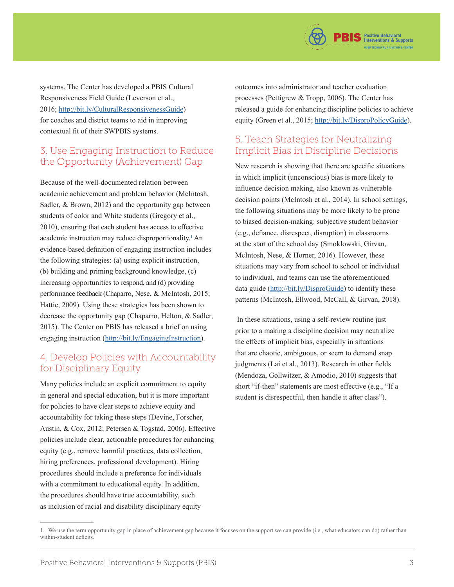

systems. The Center has developed a PBIS Cultural Responsiveness Field Guide (Leverson et al., 2016;<http://bit.ly/CulturalResponsivenessGuide>) for coaches and district teams to aid in improving contextual fit of their SWPBIS systems.

### 3. Use Engaging Instruction to Reduce the Opportunity (Achievement) Gap

Because of the well-documented relation between academic achievement and problem behavior (McIntosh, Sadler, & Brown, 2012) and the opportunity gap between students of color and White students (Gregory et al., 2010), ensuring that each student has access to effective academic instruction may reduce disproportionality.<sup>1</sup> An evidence-based definition of engaging instruction includes the following strategies: (a) using explicit instruction, (b) building and priming background knowledge, (c) increasing opportunities to respond, and (d) providing performance feedback (Chaparro, Nese, & McIntosh, 2015; Hattie, 2009). Using these strategies has been shown to decrease the opportunity gap (Chaparro, Helton, & Sadler, 2015). The Center on PBIS has released a brief on using engaging instruction ([http://bit.ly/EngagingInstruction\)](http://bit.ly/engaginginstruction).

## 4. Develop Policies with Accountability for Disciplinary Equity

Many policies include an explicit commitment to equity in general and special education, but it is more important for policies to have clear steps to achieve equity and accountability for taking these steps (Devine, Forscher, Austin, & Cox, 2012; Petersen & Togstad, 2006). Effective policies include clear, actionable procedures for enhancing equity (e.g., remove harmful practices, data collection, hiring preferences, professional development). Hiring procedures should include a preference for individuals with a commitment to educational equity. In addition, the procedures should have true accountability, such as inclusion of racial and disability disciplinary equity

outcomes into administrator and teacher evaluation processes (Pettigrew & Tropp, 2006). The Center has released a guide for enhancing discipline policies to achieve equity (Green et al., 2015; <http://bit.ly/DisproPolicyGuide>).

## 5. Teach Strategies for Neutralizing Implicit Bias in Discipline Decisions

New research is showing that there are specific situations in which implicit (unconscious) bias is more likely to influence decision making, also known as vulnerable decision points (McIntosh et al., 2014). In school settings, the following situations may be more likely to be prone to biased decision-making: subjective student behavior (e.g., defiance, disrespect, disruption) in classrooms at the start of the school day (Smoklowski, Girvan, McIntosh, Nese, & Horner, 2016). However, these situations may vary from school to school or individual to individual, and teams can use the aforementioned data guide [\(http://bit.ly/DisproGuide\)](http://bit.ly/DisproGuide) to identify these patterns (McIntosh, Ellwood, McCall, & Girvan, 2018).

 In these situations, using a self-review routine just prior to a making a discipline decision may neutralize the effects of implicit bias, especially in situations that are chaotic, ambiguous, or seem to demand snap judgments (Lai et al., 2013). Research in other fields (Mendoza, Gollwitzer, & Amodio, 2010) suggests that short "if-then" statements are most effective (e.g., "If a student is disrespectful, then handle it after class").

<sup>1.</sup> We use the term opportunity gap in place of achievement gap because it focuses on the support we can provide (i.e., what educators can do) rather than within-student deficits.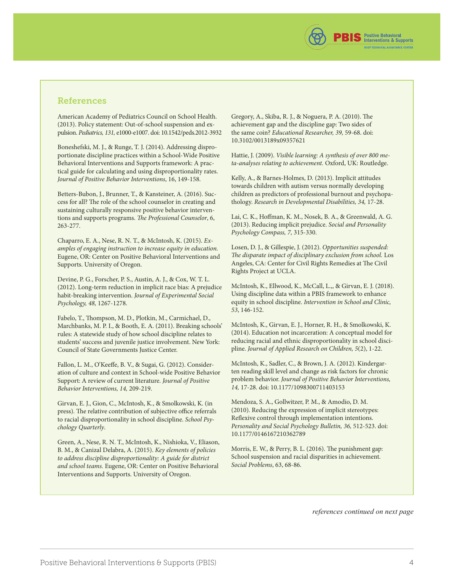

#### References

American Academy of Pediatrics Council on School Health. (2013). Policy statement: Out-of-school suspension and expulsion. Pediatrics, 131, e1000-e1007. doi: 10.1542/peds.2012-3932

Boneshefski, M. J., & Runge, T. J. (2014). Addressing disproportionate discipline practices within a School-Wide Positive Behavioral Interventions and Supports framework: A practical guide for calculating and using disproportionality rates. Journal of Positive Behavior Interventions, 16, 149-158.

Betters-Bubon, J., Brunner, T., & Kansteiner, A. (2016). Success for all? The role of the school counselor in creating and sustaining culturally responsive positive behavior interventions and supports programs. The Professional Counselor, 6, 263-277.

Chaparro, E. A., Nese, R. N. T., & McIntosh, K. (2015). Examples of engaging instruction to increase equity in education. Eugene, OR: Center on Positive Behavioral Interventions and Supports. University of Oregon.

Devine, P. G., Forscher, P. S., Austin, A. J., & Cox, W. T. L. (2012). Long-term reduction in implicit race bias: A prejudice habit-breaking intervention. Journal of Experimental Social Psychology, 48, 1267-1278.

Fabelo, T., Thompson, M. D., Plotkin, M., Carmichael, D., Marchbanks, M. P. I., & Booth, E. A. (2011). Breaking schools' rules: A statewide study of how school discipline relates to students' success and juvenile justice involvement. New York: Council of State Governments Justice Center.

Fallon, L. M., O'Keeffe, B. V., & Sugai, G. (2012). Consideration of culture and context in School-wide Positive Behavior Support: A review of current literature. Journal of Positive Behavior Interventions, 14, 209-219.

Girvan, E. J., Gion, C., McIntosh, K., & Smolkowski, K. (in press). The relative contribution of subjective office referrals to racial disproportionality in school discipline. School Psychology Quarterly.

Green, A., Nese, R. N. T., McIntosh, K., Nishioka, V., Eliason, B. M., & Canizal Delabra, A. (2015). Key elements of policies to address discipline disproportionality: A guide for district and school teams. Eugene, OR: Center on Positive Behavioral Interventions and Supports. University of Oregon.

Gregory, A., Skiba, R. J., & Noguera, P. A. (2010). The achievement gap and the discipline gap: Two sides of the same coin? Educational Researcher, 39, 59-68. doi: 10.3102/0013189x09357621

Hattie, J. (2009). Visible learning: A synthesis of over 800 meta-analyses relating to achievement. Oxford, UK: Routledge.

Kelly, A., & Barnes-Holmes, D. (2013). Implicit attitudes towards children with autism versus normally developing children as predictors of professional burnout and psychopathology. Research in Developmental Disabilities, 34, 17-28.

Lai, C. K., Hoffman, K. M., Nosek, B. A., & Greenwald, A. G. (2013). Reducing implicit prejudice. Social and Personality Psychology Compass, 7, 315-330.

Losen, D. J., & Gillespie, J. (2012). Opportunities suspended: The disparate impact of disciplinary exclusion from school. Los Angeles, CA: Center for Civil Rights Remedies at The Civil Rights Project at UCLA.

McIntosh, K., Ellwood, K., McCall, L.,, & Girvan, E. J. (2018). Using discipline data within a PBIS framework to enhance equity in school discipline. Intervention in School and Clinic, 53, 146-152.

McIntosh, K., Girvan, E. J., Horner, R. H., & Smolkowski, K. (2014). Education not incarceration: A conceptual model for reducing racial and ethnic disproportionality in school discipline. Journal of Applied Research on Children, 5(2), 1-22.

McIntosh, K., Sadler, C., & Brown, J. A. (2012). Kindergarten reading skill level and change as risk factors for chronic problem behavior. Journal of Positive Behavior Interventions, 14, 17-28. doi: 10.1177/1098300711403153

Mendoza, S. A., Gollwitzer, P. M., & Amodio, D. M. (2010). Reducing the expression of implicit stereotypes: Reflexive control through implementation intentions. Personality and Social Psychology Bulletin, 36, 512-523. doi: 10.1177/0146167210362789

Morris, E. W., & Perry, B. L. (2016). The punishment gap: School suspension and racial disparities in achievement. Social Problems, 63, 68-86.

*references continued on next page*